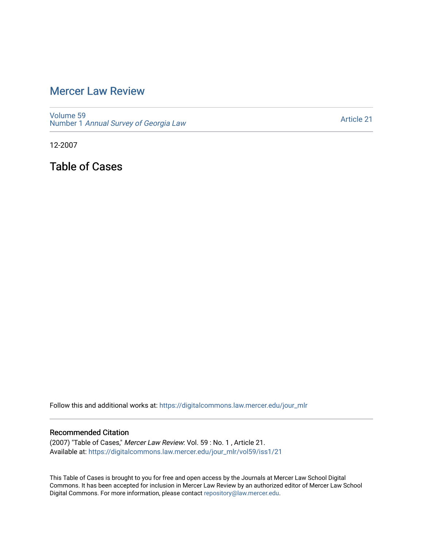# [Mercer Law Review](https://digitalcommons.law.mercer.edu/jour_mlr)

[Volume 59](https://digitalcommons.law.mercer.edu/jour_mlr/vol59) Number 1 [Annual Survey of Georgia Law](https://digitalcommons.law.mercer.edu/jour_mlr/vol59/iss1) 

[Article 21](https://digitalcommons.law.mercer.edu/jour_mlr/vol59/iss1/21) 

12-2007

Table of Cases

Follow this and additional works at: [https://digitalcommons.law.mercer.edu/jour\\_mlr](https://digitalcommons.law.mercer.edu/jour_mlr?utm_source=digitalcommons.law.mercer.edu%2Fjour_mlr%2Fvol59%2Fiss1%2F21&utm_medium=PDF&utm_campaign=PDFCoverPages)

### Recommended Citation

(2007) "Table of Cases," Mercer Law Review: Vol. 59 : No. 1 , Article 21. Available at: [https://digitalcommons.law.mercer.edu/jour\\_mlr/vol59/iss1/21](https://digitalcommons.law.mercer.edu/jour_mlr/vol59/iss1/21?utm_source=digitalcommons.law.mercer.edu%2Fjour_mlr%2Fvol59%2Fiss1%2F21&utm_medium=PDF&utm_campaign=PDFCoverPages) 

This Table of Cases is brought to you for free and open access by the Journals at Mercer Law School Digital Commons. It has been accepted for inclusion in Mercer Law Review by an authorized editor of Mercer Law School Digital Commons. For more information, please contact [repository@law.mercer.edu](mailto:repository@law.mercer.edu).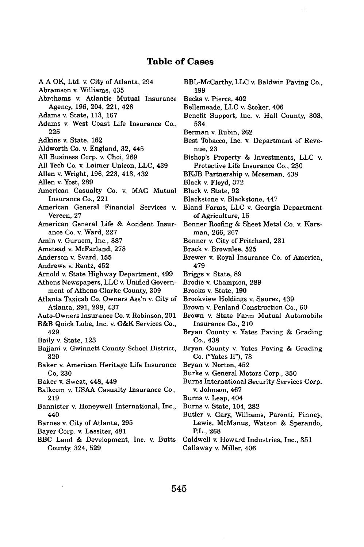## **Table of Cases**

- A A OK, Ltd. v. City of Atlanta, 294
- Abramson v. Williams, 435
- Abrohams v. Atlantic Mutual Insurance Agency, 196, 204, 221, 426
- Adams v. State, 113, 167
- Adams v. West Coast Life Insurance Co., 225
- Adkins v. State, 162
- Aldworth Co. v. England, 32, 445
- All Business Corp. v. Choi, 269
- All Tech Co. v. Laimer Unicon, LLC, 439
- Allen v. Wright, 196, 223, 413, 432
- Allen v. Yost, 289
- American Casualty Co. v. MAG Mutual Insurance Co., 221
- American General Financial Services v. Vereen, 27
- American General Life & Accident Insurance Co. v. Ward, 227
- Amin v. Guruom, Inc., 387
- Amstead v. McFarland, 278
- Anderson v. Svard, 155
- Andrews v. Rentz, 452
- Arnold v. State Highway Department, 499
- Athens Newspapers, LLC v. Unified Government of Athens-Clarke County, 309
- Atlanta Taxicab Co. Owners Ass'n v. City of Atlanta, 291, 298, 437
- Auto-Owners Insurance Co. v. Robinson, 201
- B&B Quick Lube, Inc. v. G&K Services Co., 429
- Baily v. State, 123
- Bajjani v. Gwinnett County School District, 320
- Baker v. American Heritage Life Insurance Co, 230
- Baker v. Sweat, 448, 449
- Balkcom v. USAA Casualty Insurance Co., 219
- Bannister v. Honeywell International, Inc., 440
- Barnes v. City of Atlanta, 295
- Bayer Corp. v. Lassiter, 481
- BBC Land & Development, Inc. v. Butts County, 324, 529
- BBL-McCarthy, **LLC** v. Baldwin Paving Co., 199
- Becks v. Pierce, 402
- Bellemeade, LLC v. Stoker, 406
- Benefit Support, Inc. v. Hall County, 303, 534
- Berman v. Rubin, 262
- Best Tobacco, Inc. v. Department of Revenue, 23
- Bishop's Property & Investments, LLC v. Protective Life Insurance Co., 230
- BKJB Partnership v. Moseman, 438
- Black v. Floyd, 372
- Black v. State, 92
- Blackstone v. Blackstone, 447
- Bland Farms, LLC v. Georgia Department of Agriculture, 15
- Bonner Roofing & Sheet Metal Co. v. Karsman, 266, 267
- Bonner v. City of Pritchard, 231
- Brack v. Brownlee, 525
- Brewer v. Royal Insurance Co. of America, 479
- Briggs v. State, 89
- Brodie v. Champion, 289
- Brooks v. State, 190
- Brookview Holdings v. Saurez, 439
- Brown v. Penland Construction Co., 60
- Brown v. State Farm Mutual Automobile Insurance Co., 210
- Bryan County v. Yates Paving & Grading Co., 438
- Bryan County v. Yates Paving & Grading Co. ("Yates **II"), 78**
- Bryan v. Norton, 452
- Burke v. General Motors Corp., **350**
- Burns International Security Services Corp. v. Johnson, 467
- Burns v. Leap, 404
- Burns v. State, 104, **282**
- Butler v. Gary, Williams, Parenti, Finney, Lewis, McManus, Watson **&** Sperando, P.L., **268**
- Caldwell v. Howard Industries, Inc., **351** Callaway v. Miller, 406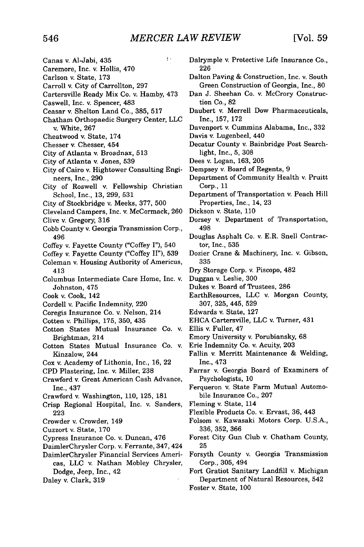$\overline{f}$ 

- Canas v. Al-Jabi, 435
- Caremore, Inc. v. Hollis, 470
- Carlson v. State, 173
- Carroll v. City of Carrollton, 297
- Cartersville Ready Mix Co. v. Hamby, 473
- Caswell, Inc. v. Spencer, 483
- Ceasar v. Shelton Land Co., 385, 517
- Chatham Orthopaedic Surgery Center, LLC v. White, 267
- Cheatwood v. State, 174
- Chesser v. Chesser, 454
- City of Atlanta v. Broadnax, 513
- City of Atlanta v. Jones, 539
- City of Cairo v. Hightower Consulting Engineers, Inc., 290
- City of Roswell v. Fellowship Christian School, Inc., 13, 299, 531
- City of Stockbridge v. Meeks, 377, 500
- Cleveland Campers, Inc. v. McCormack, 260
- Clive v. Gregory, 316
- Cobb County v. Georgia Transmission Corp., 496
- Coffey v. Fayette County ("Coffey I"), 540
- Coffey v. Fayette County ("Coffey II"), 539
- Coleman v. Housing Authority of Americus, 413
- Columbus Intermediate Care Home, Inc. v. Johnston, 475
- Cook v. Cook, 142
- Cordell v. Pacific Indemnity, 220
- Coregis Insurance Co. v. Nelson, 214
- Cotten v. Phillips, 175, 350, 435
- Cotton States Mutual Insurance Co. v. Brightman, 214
- Cotton States Mutual Insurance Co. v. Kinzalow, 244
- Cox v. Academy of Lithonia, Inc., 16, 22
- CPD Plastering, Inc. v. Miller, 238
- Crawford v. Great American Cash Advance, Inc., 437
- Crawford v. Washington, 110, 125, 181
- Crisp Regional Hospital, Inc. v. Sanders, 223
- Crowder v. Crowder, 149
- Cuzzort v. State, 170
- Cypress Insurance Co. v. Duncan, 476
- DaimlerChrysler Corp. v. Ferrante, 347, 424
- DaimlerChrysler Financial Services Americas, LLC v. Nathan Mobley Chrysler, Dodge, Jeep, Inc., 42
- Daley v. Clark, 319
- Dalrymple v. Protective Life Insurance Co., 226
- Dalton Paving & Construction, Inc. v. South Green Construction of Georgia, Inc., 80
- Dan J. Sheehan Co. v. McCrory Construction Co., 82
- Daubert v. Merrell Dow Pharmaceuticals, Inc., 157, 172
- Davenport v. Cummins Alabama, Inc., 332
- Davis v. Lugenbeel, 440
- Decatur County v. Bainbridge Post Searchlight, Inc., 5, 308
- Dees v. Logan, 163, 205
- Dempsey v. Board of Regents, 9
- Department of Community Health v. Pruitt Corp., 11
- Department of Transportation v. Peach Hill Properties, Inc., 14, 23
- Dickson v. State, 110
- Dorsey v. Department of Transportation, 498
- Douglas Asphalt Co. v. E.R. Snell Contractor, Inc., 535
- Dozier Crane & Machinery, Inc. v. Gibson, 335
- Dry Storage Corp. v. Piscopo, 482
- Duggan v. Leslie, 300
- Dukes v. Board of Trustees, 286
- EarthResources, LLC v. Morgan County, 307, 325, 445, 529
- Edwards v. State, 127
- EHCA Cartersville, LLC v. Turner, 431
- Ellis v. Fuller, 47
- Emory University v. Porubiansky, 68
- Erie Indemnity Co. v. Acuity, 203
- Fallin v. Merritt Maintenance & Welding, Inc., 473
- Farrar v. Georgia Board of Examiners of Psychologists, 10
- Ferqueron v. State Farm Mutual Automobile Insurance Co., 207
- Fleming v. State, 114
- Flexible Products Co. v. Ervast, **36,** 443
- Folsom v. Kawasaki Motors Corp. U.S.A., 336, 352, 366
- Forest City Gun Club v. Chatham County, 25
- Forsyth County v. Georgia Transmission Corp., 305, 494
- Fort Gratiot Sanitary Landfill v. Michigan Department of Natural Resources, 542 Foster v. State, 100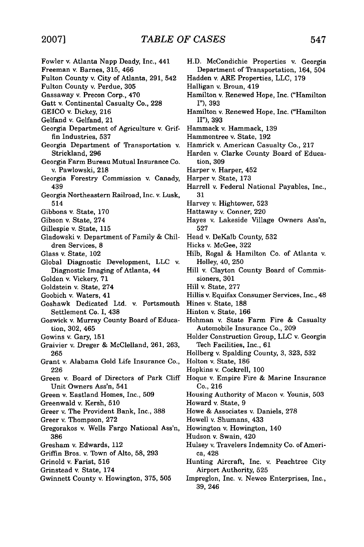- Fowler v. Atlanta Napp Deady, Inc., 441 Freeman v. Barnes, 315, 466 Fulton County v. City of Atlanta, 291, 542 Fulton County v. Perdue, 305 Gassaway v. Precon Corp., 470 Gatt v. Continental Casualty Co., 228 GEICO v. Dickey, 216 Gelfand v. Gelfand, 21 Georgia Department of Agriculture v. Griffin Industries, 537 Georgia Department of Transportation v. Strickland, 296 Georgia Farm Bureau Mutual Insurance Co. v. Pawlowski, 218 Georgia Forestry Commission v. Canady, 439 Georgia Northeastern Railroad, Inc. v. Lusk, 514 Gibbons v. State, 170 Gibson v. State, 274 Gillespie v. State, 115 Gladowski v. Department of Family & Children Services, 8 Glass v. State, 102 Global Diagnostic Development, LLC v. Diagnostic Imaging of Atlanta, 44 Golden v. Vickery, 71 Goldstein v. State, 274 Goobich v. Waters, 41 Goshawk Dedicated Ltd. v. Portsmouth Settlement Co. I, 438 Goswick v. Murray County Board of Education, 302, 465 Gowins v. Gary, 151 Graivier v. Dreger & McClelland, 261, 263, 265 Grant v. Alabama Gold Life Insurance Co., 226 Green v. Board of Directors of Park Cliff Unit Owners Ass'n, 541 Green v. Eastland Homes, Inc., 509 Greenwald v. Kersh, 510 Greer v. The Provident Bank, Inc., 388 Greer v. Thompson, 272 Gregorakos v. Wells Fargo National Ass'n, 386 Gresham v. Edwards, 112 Griffin Bros. v. Town of Alto, 58, 293 Grinold v. Farist, 516 Grinstead v. State, 174 Gwinnett County v. Howington, 375, 505
	- H.D. McCondichie Properties v. Georgia Department of Transportation, 164, 504
	- Hadden v. ARE Properties, LLC, 179
	- Halligan v. Broun, 419
	- Hamilton v. Renewed Hope, Inc. ("Hamilton I"), 393
	- Hamilton v. Renewed Hope, Inc. ("Hamilton II"), 393
	- Hammack v. Hammack, 139
	- Hammontree v. State, 192
	- Hamrick v. American Casualty Co., 217
	- Harden v. Clarke County Board of Education, 309
	- Harper v. Harper, 452
	- Harper v. State, 173
	- Harrell v. Federal National Payables, Inc., 31
	- Harvey v. Hightower, 523
	- Hattaway v. Conner, 220
	- Hayes v. Lakeside Village Owners Ass'n, 527
	- Head v. DeKalb County, 532
	- Hicks v. McGee, 322
	- Hilb, Rogal & Hamilton Co. of Atlanta v. Holley, 40, 250
	- Hill v. Clayton County Board of Commissioners, 301
	- Hill v. State, 277
	- Hillis v. Equifax Consumer Services, Inc., 48
	- Hines v. State, 188
	- Hinton v. State, 166
	- Hohman v. State Farm Fire & Casualty Automobile Insurance Co., 209
	- Holder Construction Group, LLC v. Georgia Tech Facilities, Inc., 61
	- Hollberg v. Spalding County, 3, 323, 532
	- Holton v. State, 186
	- Hopkins v. Cockrell, 100
	- Hoque v. Empire Fire & Marine Insurance Co., 216
	- Housing Authority of Macon v. Younis, 503
	- Howard v. State, 9
	- Howe & Associates v. Daniels, 278
	- Howell v. Shumans, 433
	- Howington v. Howington, 140
	- Hudson v. Swain, 420
	- Hulsey v. Travelers Indemnity Co. of America, 428
	- Hunting Aircraft, Inc. v. Peachtree City Airport Authority, 525
	- Impreglon, Inc. v. Newco Enterprises, Inc., 39, 246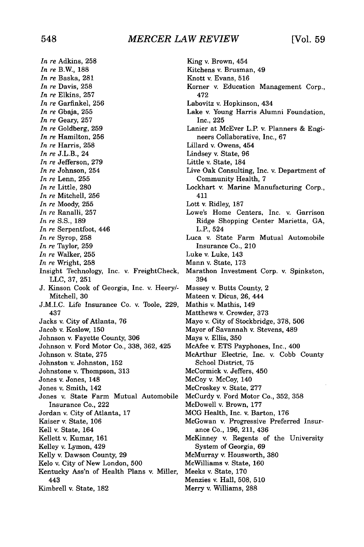King v. Brown, 454

*In re* Adkins, 258 *In re* B.W., 188 *In re* Baska, 281 *In re* Davis, 258 *In re* Elkins, 257 *In re* Garfinkel, 256 *In re* Gbaja, 255 *In re* Geary, 257 *In re* Goldberg, 259 *In re* Hamilton, 256 *In re* Harris, 258 *In re* J.L.B., 24 *In re* Jefferson, 279 *In re* Johnson, 254 *In re* Lenn, 255 *In re* Little, 280 *In re* Mitchell, 256 *In re* Moody, 255 *In re* Ranalli, 257 *In re* S.S., 189 *In re* Serpentfoot, 446 *In re* Syrop, 258 *In re* Taylor, 259 *In re* Walker, 255 *In re* Wright, 258 Insight Technology, Inc. v. FreightCheck, LLC, 37, 251 J. Kinson Cook of Georgia, Inc. v. Heery/- Mitchell, 30 J.M.I.C. Life Insurance Co. v. Toole, 229, 437 Jacks v. City of Atlanta, 76 Jacob v. Koslow, 150 Johnson v. Fayette County, 306 Johnson v. Ford Motor Co., 338, 362, 425 Johnson v. State, 275 Johnston v. Johnston, 152 Johnstone v. Thompson, 313 Jones v. Jones, 148 Jones v. Smith, 142 Jones v. State Farm Mutual Automobile Insurance Co., 222 Jordan v. City of Atlanta, 17 Kaiser v. State, 106 Kell v. State, 164 Kellett v. Kumar, 161 Kelley v. Lymon, 429 Kelly v. Dawson County, 29 Kelo v. City of New London, 500 Kentucky Ass'n of Health Plans v. Miller, 443 Kimbrell v. State, 182

Kitchens v. Brusman, 49 Knott v. Evans, 516 Korner v. Education Management Corp., 472 Labovitz v. Hopkinson, 434 Lake v. Young Harris Alumni Foundation, Inc., 225 Lanier at McEver L.P. v. Planners & Engineers Collaborative, Inc., 67 Lillard v. Owens, 454 Lindsey v. State, 96 Little v. State, 184 Live Oak Consulting, Inc. v. Department of Community Health, 7 Lockhart v. Marine Manufacturing Corp., 411 Lott v. Ridley, 187 Lowe's Home Centers, Inc. v. Garrison Ridge Shopping Center Marietta, GA, L.P., 524 Luca v. State Farm Mutual Automobile Insurance Co., 210 Luke v. Luke, 143 Mann v. State, 173 Marathon Investment Corp. v. Spinkston, 394 Massey v. Butts County, 2 Mateen v. Dicus, 26, 444 Mathis v. Mathis, 149 Matthews v. Crowder, **373** Mayo v. City of Stockbridge, 378, 506 Mayor of Savannah v. Stevens, 489 Mays v. Ellis, 350 McAfee v. ETS Payphones, Inc., 400 McArthur Electric, Inc. v. Cobb County School District, 75 McCormick v. Jeffers, 450 McCoy v. McCoy, 140 McCroskey v. State, 277 McCurdy v. Ford Motor Co., 352, 358 McDowell v. Brown, 177 MCG Health, Inc. v. Barton, 176 McGowan v. Progressive Preferred Insurance Co., 196, 211, 436 McKinney v. Regents of the University System of Georgia, 69 McMurray v. Housworth, 380 McWilliams v. State, 160 Meeks v. State, 170 Menzies v. Hall, 508, 510 Merry v. Williams, 288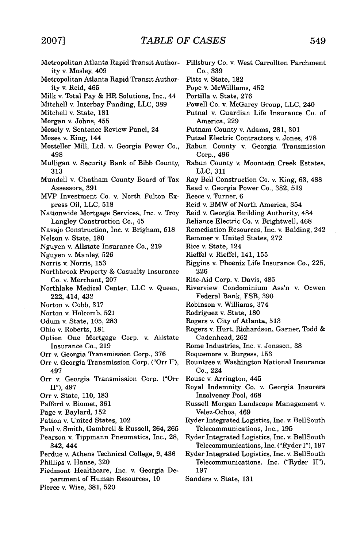$\bar{\gamma}$ 

| Metropolitan Atlanta Rapid Transit Author-<br>ity v. Mosley, 409 | Pillsbury Co. v. West Carrollton Parchment<br>Co., 339 |
|------------------------------------------------------------------|--------------------------------------------------------|
| Metropolitan Atlanta Rapid Transit Author-                       | Pitts v. State, 182                                    |
| ity v. Reid, 465                                                 | Pope v. McWilliams, 452                                |
| Milk v. Total Pay & HR Solutions, Inc., 44                       | Portilla v. State, 276                                 |
| Mitchell v. Interbay Funding, LLC, 389                           | Powell Co. v. McGarey Group, LLC, 240                  |
| Mitchell v. State, 181                                           | Putnal v. Guardian Life Insurance Co. of               |
| Morgan v. Johns, 455                                             | America, 229                                           |
| Mosely v. Sentence Review Panel, 24                              | Putnam County v. Adams, 281, 301                       |
| Moses v. King, 144                                               | Putzel Electric Contractors v. Jones, 478              |
| Mosteller Mill, Ltd. v. Georgia Power Co.,                       | Rabun County v. Georgia Transmission                   |
| 498                                                              | Corp., 496                                             |
| Mulligan v. Security Bank of Bibb County,                        | Rabun County v. Mountain Creek Estates,                |
| 313                                                              | LLC, 311                                               |
| Mundell v. Chatham County Board of Tax                           | Ray Bell Construction Co. v. King, 63, 488             |
| Assessors, 391                                                   | Read v. Georgia Power Co., 382, 519                    |
| MVP Investment Co. v. North Fulton Ex-                           | Reece v. Turner, 6                                     |
| press Oil, LLC, 518                                              | Reid v. BMW of North America, 354                      |
| Nationwide Mortgage Services, Inc. v. Troy                       | Reid v. Georgia Building Authority, 484                |
| Langley Construction Co., 45                                     | Reliance Electric Co. v. Brightwell, 468               |
| Navajo Construction, Inc. v. Brigham, 518                        | Remediation Resources, Inc. v. Balding, 242            |
| Nelson v. State, 180                                             | Remmer v. United States, 272                           |
| Nguyen v. Allstate Insurance Co., 219                            | Rice v. State, 124                                     |
| Nguyen v. Manley, 526                                            | Rieffel v. Rieffel, 141, 155                           |
| Norris v. Norris, 153                                            | Riggins v. Phoenix Life Insurance Co., 225,            |
| Northbrook Property & Casualty Insurance                         | 226                                                    |
| Co. v. Merchant, 207                                             | Rite-Aid Corp. v. Davis, 485                           |
| Northlake Medical Center, LLC v. Queen,                          | Riverview Condominium Ass'n v. Ocwen                   |
| 222, 414, 432                                                    | Federal Bank, FSB, 390                                 |
| Norton v. Cobb, 317                                              | Robinson v. Williams, 374                              |
| Norton v. Holcomb, 521                                           | Rodriguez v. State, 180                                |
| Odum v. State, 105, 283                                          | Rogers v. City of Atlanta, 513                         |
| Ohio v. Roberts, 181                                             | Rogers v. Hurt, Richardson, Garner, Todd &             |
| Option One Mortgage Corp. v. Allstate                            | Cadenhead, 262                                         |
| Insurance Co., 219                                               | Rome Industries, Inc. v. Jonsson, 38                   |
| Orr v. Georgia Transmission Corp., 376                           | Roquemore v. Burgess, 153                              |
| Orr v. Georgia Transmission Corp. ("Orr I"),                     | Rountree v. Washington National Insurance              |
| 497<br>Orr v. Georgia Transmission Corp. ("Orr                   | Co., 224<br>Rouse v. Arrington, 445                    |
| $II$ "), 497                                                     | Royal Indemnity Co. v. Georgia Insurers                |
| Orr v. State, 110, 183                                           | Insolvency Pool, 468                                   |
| Pafford v. Biomet, 361                                           | Russell Morgan Landscape Management v.                 |
| Page v. Baylard, 152                                             | Velez-Ochoa, 469                                       |
| Patton v. United States, 102                                     | Ryder Integrated Logistics, Inc. v. BellSouth          |
| Paul v. Smith, Gambrell & Russell, 264, 265                      | Telecommunications, Inc., 195                          |
| Pearson v. Tippmann Pneumatics, Inc., 28,                        | Ryder Integrated Logistics, Inc. v. BellSouth          |
| 342, 444                                                         | Telecommunications, Inc. ("Ryder I"), 197              |
| Perdue v. Athens Technical College, 9, 436                       | Ryder Integrated Logistics, Inc. v. BellSouth          |
| Phillips v. Hanse, 320                                           | Telecommunications, Inc. ("Ryder II"),                 |
| Piedmont Healthcare, Inc. v. Georgia De-                         | 197                                                    |
| partment of Human Resources, 10                                  | Sanders v. State, 131                                  |
| Pierce v. Wise, 381, 520                                         |                                                        |
|                                                                  |                                                        |
|                                                                  |                                                        |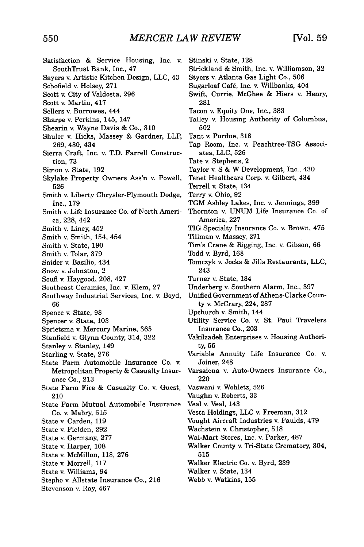| Satisfaction & Service Housing, Inc. v.<br>SouthTrust Bank, Inc., 47         | Stinski v. State, 128<br>Strickland & Smith, Inc. v. Williamson, 32 |
|------------------------------------------------------------------------------|---------------------------------------------------------------------|
| Sayers v. Artistic Kitchen Design, LLC, 43                                   | Styers v. Atlanta Gas Light Co., 506                                |
| Schofield v. Holsey, 271                                                     | Sugarloaf Café, Inc. v. Willbanks, 404                              |
| Scott v. City of Valdosta, 296                                               | Swift, Currie, McGhee & Hiers v. Henry,                             |
| Scott v. Martin, 417                                                         | 281                                                                 |
|                                                                              | Tacon v. Equity One, Inc., 383                                      |
| Sellers v. Burrowes, 444                                                     | Talley v. Housing Authority of Columbus,                            |
| Sharpe v. Perkins, 145, 147                                                  | 502                                                                 |
| Shearin v. Wayne Davis & Co., 310<br>Shuler v. Hicks, Massey & Gardner, LLP, | Tant v. Purdue, 318                                                 |
| 269, 430, 434                                                                | Tap Room, Inc. v. Peachtree-TSG Associ-                             |
| Sierra Craft, Inc. v. T.D. Farrell Construc-                                 | ates, LLC, 526                                                      |
| tion, 73                                                                     | Tate v. Stephens, 2                                                 |
| Simon v. State, 192                                                          | Taylor v. S & W Development, Inc., 430                              |
| Skylake Property Owners Ass'n v. Powell,<br>526                              | Tenet Healthcare Corp. v. Gilbert, 434<br>Terrell v. State, 134     |
| Smith v. Liberty Chrysler-Plymouth Dodge,                                    | Terry v. Ohio, 92                                                   |
| Inc., 179                                                                    | TGM Ashley Lakes, Inc. v. Jennings, 399                             |
| Smith v. Life Insurance Co. of North Ameri-                                  | Thornton v. UNUM Life Insurance Co. of                              |
| ca, 228, 442                                                                 | America, 227                                                        |
| Smith v. Liney, 452                                                          | TIG Specialty Insurance Co. v. Brown, 475                           |
| Smith v. Smith, 154, 454                                                     | Tillman v. Massey, 271                                              |
| Smith v. State, 190                                                          | Tim's Crane & Rigging, Inc. v. Gibson, 66                           |
| Smith v. Tolar, 379                                                          | Todd v. Byrd, 168                                                   |
| Snider v. Basilio, 434                                                       | Tomczyk v. Jocks & Jills Restaurants, LLC,                          |
| Snow v. Johnston, 2                                                          | 243                                                                 |
| Soufi v. Haygood, 208, 427                                                   | Turner v. State, 184                                                |
| Southeast Ceramics, Inc. v. Klem, 27                                         | Underberg v. Southern Alarm, Inc., 397                              |
| Southway Industrial Services, Inc. v. Boyd,                                  | Unified Government of Athens-Clarke Coun-                           |
| 66                                                                           | ty v. McCrary, 224, 287                                             |
| Spence v. State, 98                                                          | Upchurch v. Smith, 144                                              |
| Spencer v. State, 103                                                        | Utility Service Co. v. St. Paul Travelers                           |
| Sprietsma v. Mercury Marine, 365                                             | Insurance Co., 203                                                  |
| Stanfield v. Glynn County, 314, 322                                          | Vakilzadeh Enterprises v. Housing Authori-                          |
| Stanley v. Stanley, 149                                                      | ty, 55                                                              |
| Starling v. State, 276                                                       | Variable Annuity Life Insurance Co. v.                              |
| State Farm Automobile Insurance Co. v.                                       | Joiner, 248                                                         |
| Metropolitan Property & Casualty Insur-                                      | Varsalona v. Auto-Owners Insurance Co.,                             |
| ance Co., 213                                                                | 220                                                                 |
| State Farm Fire & Casualty Co. v. Guest,                                     | Vaswani v. Wohletz, 526                                             |
| 210                                                                          | Vaughn v. Roberts, 33                                               |
| State Farm Mutual Automobile Insurance                                       | Veal v. Veal, 143                                                   |
| Co. v. Mabry, 515                                                            | Vesta Holdings, LLC v. Freeman, 312                                 |
| State v. Carden, 119                                                         | Vought Aircraft Industries v. Faulds, 479                           |
| State v. Fielden, 292                                                        | Wachstein v. Christopher, 518                                       |
| State v. Germany, 277                                                        | Wal-Mart Stores, Inc. v. Parker, 487                                |
| State v. Harper, 108                                                         | Walker County v. Tri-State Crematory, 304,                          |
| State v. McMillon, 118, 276                                                  | 515                                                                 |
| State v. Morrell, 117                                                        | Walker Electric Co. v. Byrd, 239                                    |
| State v. Williams, 94                                                        | Walker v. State, 134                                                |
| Stepho v. Allstate Insurance Co., 216                                        | Webb v. Watkins, 155                                                |
| Stevenson v. Ray, 467                                                        |                                                                     |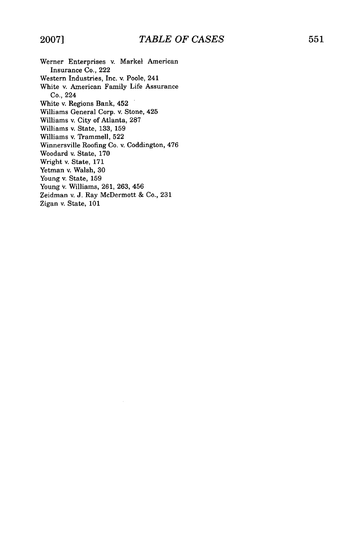- Werner Enterprises v. Markel American Insurance Co., 222 Western Industries, Inc. v. Poole, 241 White v. American Family Life Assurance Co., 224 White v. Regions Bank, 452 Williams General Corp. v. Stone, 425 Williams v. City of Atlanta, 287 Williams v. State, 133, 159 Williams v. Trammell, 522 Winnersville Roofing Co. v. Coddington, 476
- Woodard v. State, 170
- Wright v. State, 171
- Yetman v. Walsh, 30
- Young v. State, 159
- Young v. Williams, 261, 263, 456
- Zeidman v. J. Ray McDermott & Co., 231
- Zigan v. State, 101